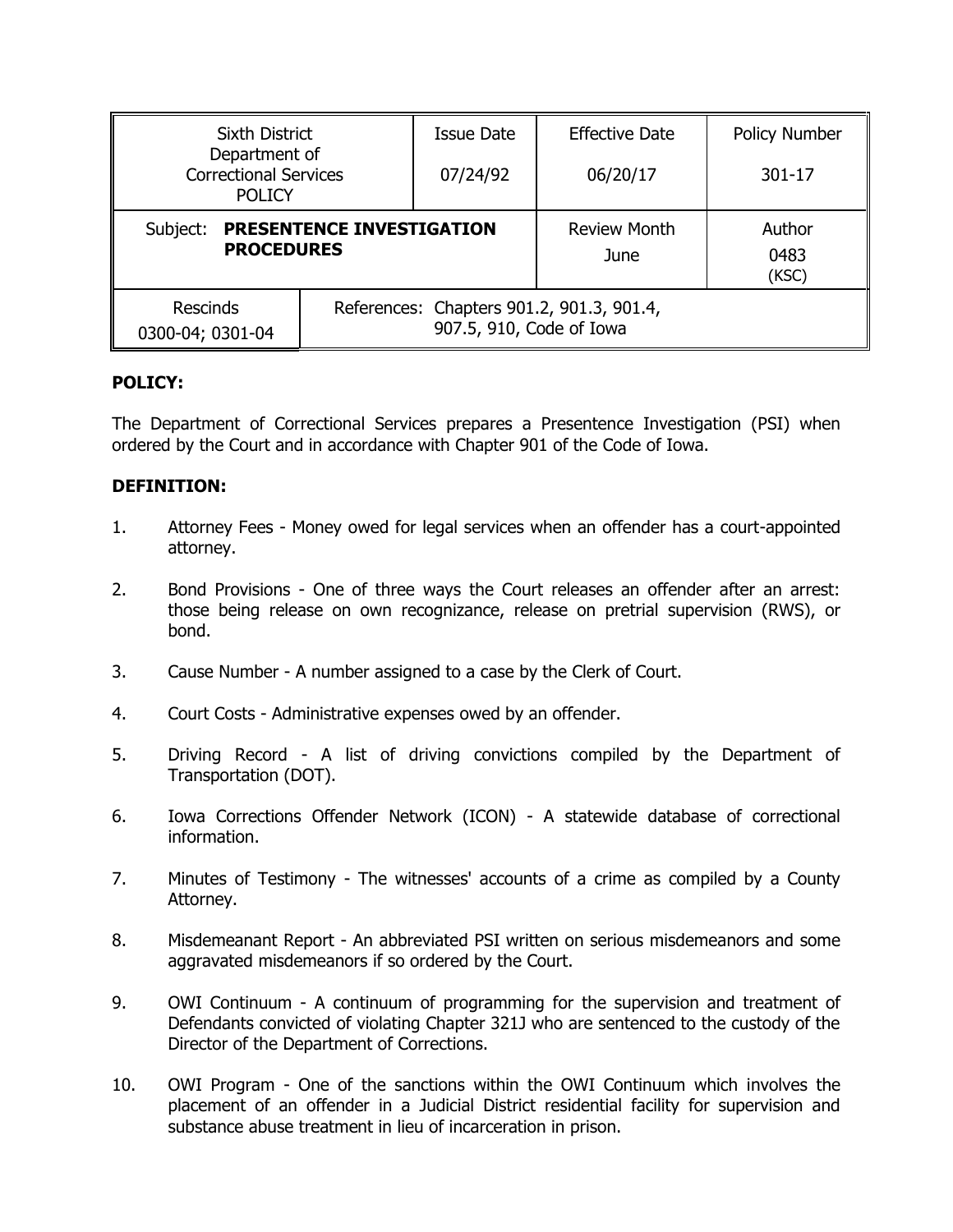| <b>Sixth District</b><br>Department of<br><b>Correctional Services</b><br><b>POLICY</b> |                                                                       | <b>Issue Date</b> | <b>Effective Date</b>       | <b>Policy Number</b>    |
|-----------------------------------------------------------------------------------------|-----------------------------------------------------------------------|-------------------|-----------------------------|-------------------------|
|                                                                                         |                                                                       | 07/24/92          | 06/20/17                    | 301-17                  |
| PRESENTENCE INVESTIGATION<br>Subject:<br><b>PROCEDURES</b>                              |                                                                       |                   | <b>Review Month</b><br>June | Author<br>0483<br>(KSC) |
| <b>Rescinds</b><br>0300-04; 0301-04                                                     | References: Chapters 901.2, 901.3, 901.4,<br>907.5, 910, Code of Iowa |                   |                             |                         |

## **POLICY:**

The Department of Correctional Services prepares a Presentence Investigation (PSI) when ordered by the Court and in accordance with Chapter 901 of the Code of Iowa.

#### **DEFINITION:**

- 1. Attorney Fees Money owed for legal services when an offender has a court-appointed attorney.
- 2. Bond Provisions One of three ways the Court releases an offender after an arrest: those being release on own recognizance, release on pretrial supervision (RWS), or bond.
- 3. Cause Number A number assigned to a case by the Clerk of Court.
- 4. Court Costs Administrative expenses owed by an offender.
- 5. Driving Record A list of driving convictions compiled by the Department of Transportation (DOT).
- 6. Iowa Corrections Offender Network (ICON) A statewide database of correctional information.
- 7. Minutes of Testimony The witnesses' accounts of a crime as compiled by a County Attorney.
- 8. Misdemeanant Report An abbreviated PSI written on serious misdemeanors and some agaravated misdemeanors if so ordered by the Court.
- 9. OWI Continuum A continuum of programming for the supervision and treatment of Defendants convicted of violating Chapter 321J who are sentenced to the custody of the Director of the Department of Corrections.
- 10. OWI Program One of the sanctions within the OWI Continuum which involves the placement of an offender in a Judicial District residential facility for supervision and substance abuse treatment in lieu of incarceration in prison.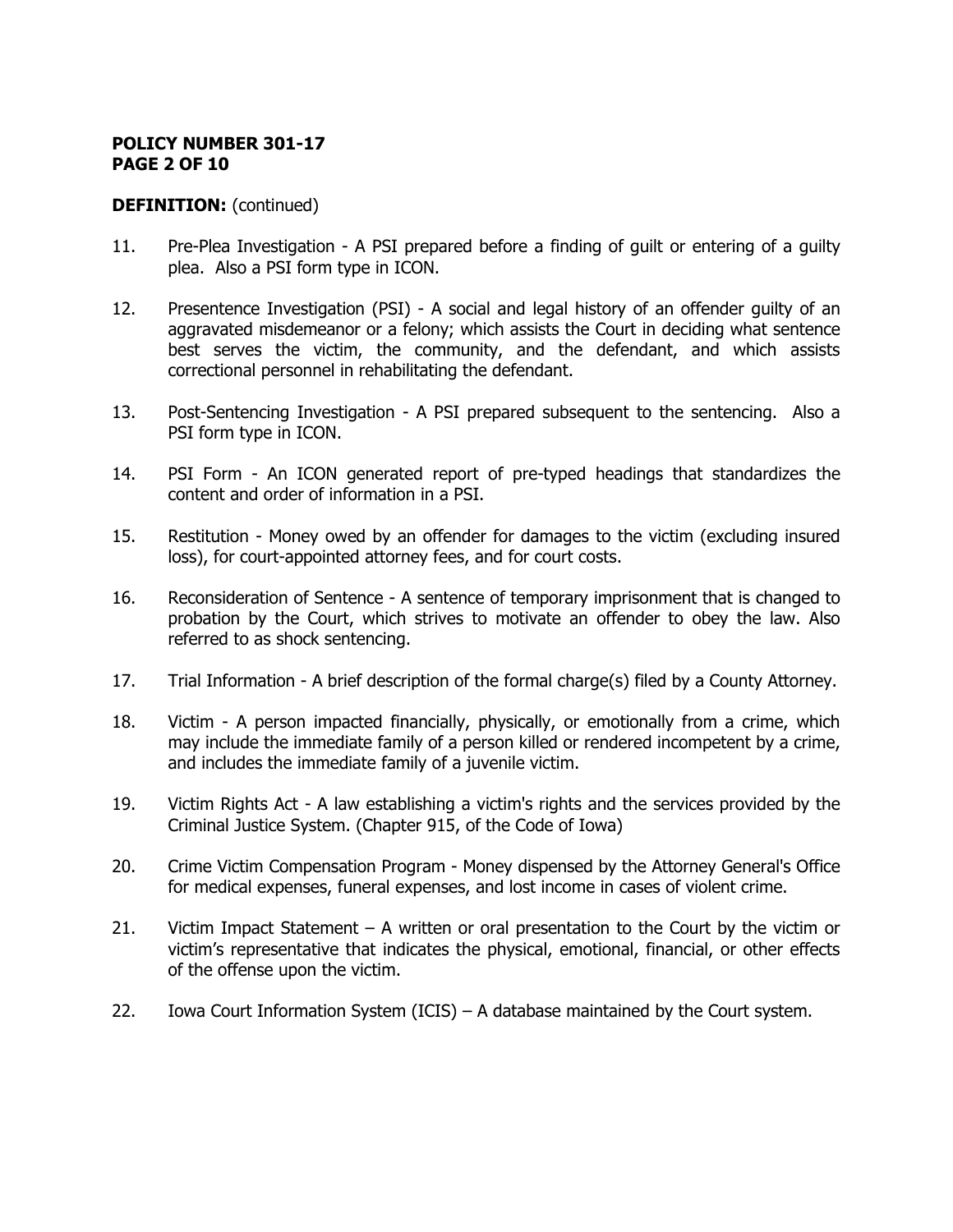## **POLICY NUMBER 301-17 PAGE 2 OF 10**

## **DEFINITION:** (continued)

- 11. Pre-Plea Investigation A PSI prepared before a finding of guilt or entering of a guilty plea. Also a PSI form type in ICON.
- 12. Presentence Investigation (PSI) A social and legal history of an offender guilty of an aggravated misdemeanor or a felony; which assists the Court in deciding what sentence best serves the victim, the community, and the defendant, and which assists correctional personnel in rehabilitating the defendant.
- 13. Post-Sentencing Investigation A PSI prepared subsequent to the sentencing. Also a PSI form type in ICON.
- 14. PSI Form An ICON generated report of pre-typed headings that standardizes the content and order of information in a PSI.
- 15. Restitution Money owed by an offender for damages to the victim (excluding insured loss), for court-appointed attorney fees, and for court costs.
- 16. Reconsideration of Sentence A sentence of temporary imprisonment that is changed to probation by the Court, which strives to motivate an offender to obey the law. Also referred to as shock sentencing.
- 17. Trial Information A brief description of the formal charge(s) filed by a County Attorney.
- 18. Victim A person impacted financially, physically, or emotionally from a crime, which may include the immediate family of a person killed or rendered incompetent by a crime, and includes the immediate family of a juvenile victim.
- 19. Victim Rights Act A law establishing a victim's rights and the services provided by the Criminal Justice System. (Chapter 915, of the Code of Iowa)
- 20. Crime Victim Compensation Program Money dispensed by the Attorney General's Office for medical expenses, funeral expenses, and lost income in cases of violent crime.
- 21. Victim Impact Statement A written or oral presentation to the Court by the victim or victim's representative that indicates the physical, emotional, financial, or other effects of the offense upon the victim.
- 22. Iowa Court Information System (ICIS) A database maintained by the Court system.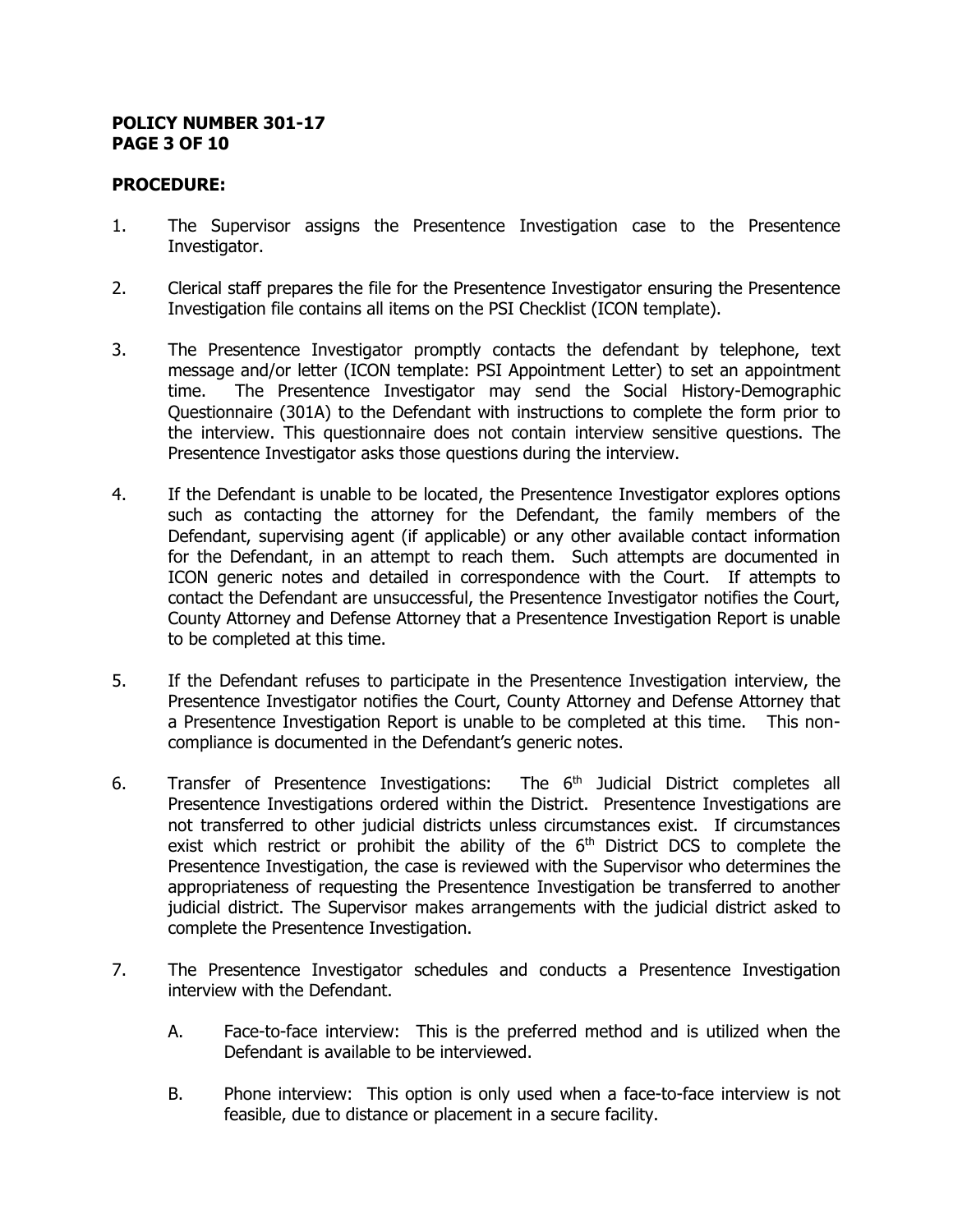#### **POLICY NUMBER 301-17 PAGE 3 OF 10**

## **PROCEDURE:**

- 1. The Supervisor assigns the Presentence Investigation case to the Presentence Investigator.
- 2. Clerical staff prepares the file for the Presentence Investigator ensuring the Presentence Investigation file contains all items on the PSI Checklist (ICON template).
- 3. The Presentence Investigator promptly contacts the defendant by telephone, text message and/or letter (ICON template: PSI Appointment Letter) to set an appointment time. The Presentence Investigator may send the Social History-Demographic Questionnaire (301A) to the Defendant with instructions to complete the form prior to the interview. This questionnaire does not contain interview sensitive questions. The Presentence Investigator asks those questions during the interview.
- 4. If the Defendant is unable to be located, the Presentence Investigator explores options such as contacting the attorney for the Defendant, the family members of the Defendant, supervising agent (if applicable) or any other available contact information for the Defendant, in an attempt to reach them. Such attempts are documented in ICON generic notes and detailed in correspondence with the Court. If attempts to contact the Defendant are unsuccessful, the Presentence Investigator notifies the Court, County Attorney and Defense Attorney that a Presentence Investigation Report is unable to be completed at this time.
- 5. If the Defendant refuses to participate in the Presentence Investigation interview, the Presentence Investigator notifies the Court, County Attorney and Defense Attorney that a Presentence Investigation Report is unable to be completed at this time. This noncompliance is documented in the Defendant's generic notes.
- 6. Transfer of Presentence Investigations: The 6<sup>th</sup> Judicial District completes all Presentence Investigations ordered within the District. Presentence Investigations are not transferred to other judicial districts unless circumstances exist. If circumstances exist which restrict or prohibit the ability of the  $6<sup>th</sup>$  District DCS to complete the Presentence Investigation, the case is reviewed with the Supervisor who determines the appropriateness of requesting the Presentence Investigation be transferred to another judicial district. The Supervisor makes arrangements with the judicial district asked to complete the Presentence Investigation.
- 7. The Presentence Investigator schedules and conducts a Presentence Investigation interview with the Defendant.
	- A. Face-to-face interview: This is the preferred method and is utilized when the Defendant is available to be interviewed.
	- B. Phone interview: This option is only used when a face-to-face interview is not feasible, due to distance or placement in a secure facility.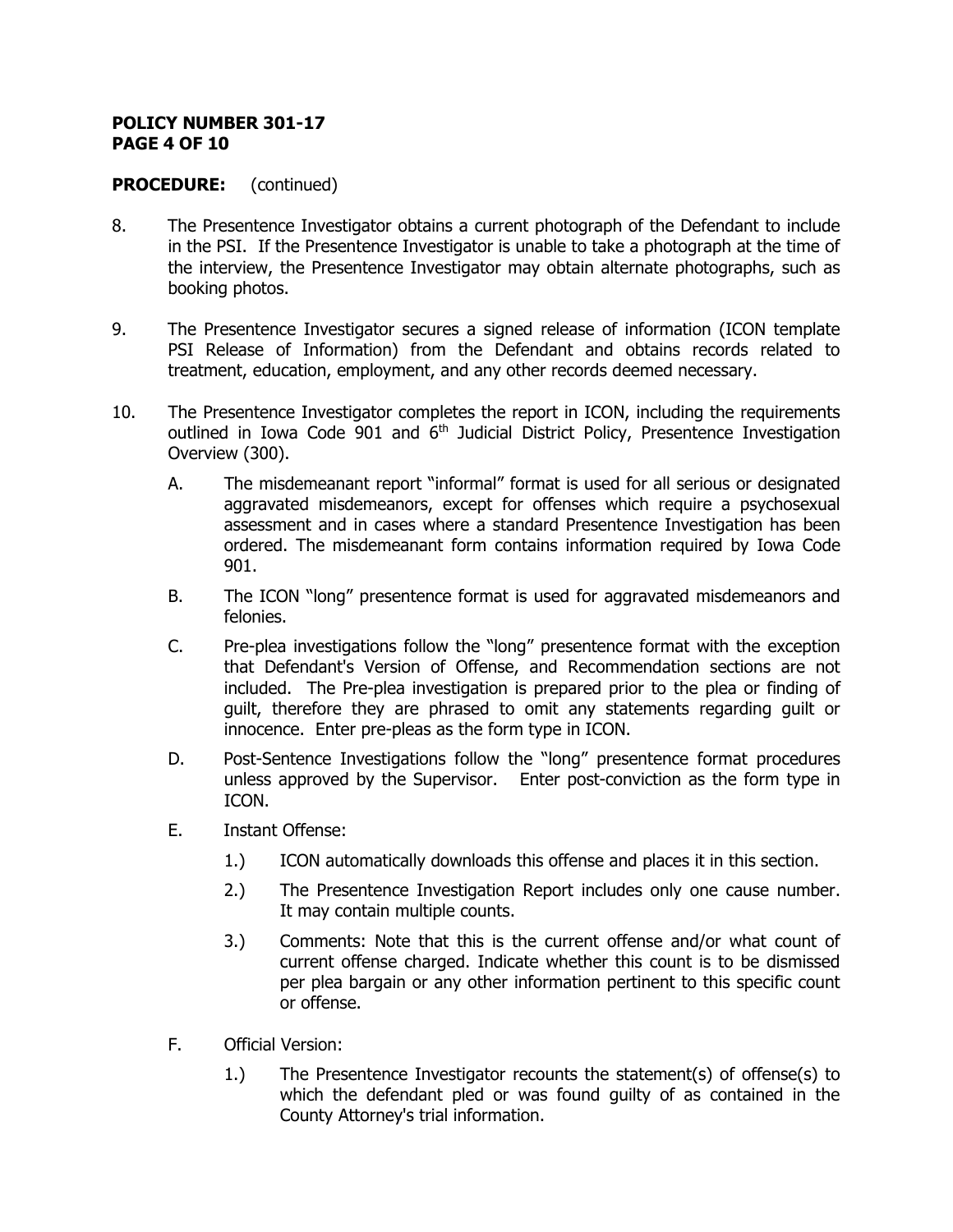#### **POLICY NUMBER 301-17 PAGE 4 OF 10**

- 8. The Presentence Investigator obtains a current photograph of the Defendant to include in the PSI. If the Presentence Investigator is unable to take a photograph at the time of the interview, the Presentence Investigator may obtain alternate photographs, such as booking photos.
- 9. The Presentence Investigator secures a signed release of information (ICON template PSI Release of Information) from the Defendant and obtains records related to treatment, education, employment, and any other records deemed necessary.
- 10. The Presentence Investigator completes the report in ICON, including the requirements outlined in Iowa Code 901 and  $6<sup>th</sup>$  Judicial District Policy, Presentence Investigation Overview (300).
	- A. The misdemeanant report "informal" format is used for all serious or designated aggravated misdemeanors, except for offenses which require a psychosexual assessment and in cases where a standard Presentence Investigation has been ordered. The misdemeanant form contains information required by Iowa Code 901.
	- B. The ICON "long" presentence format is used for aggravated misdemeanors and felonies.
	- C. Pre-plea investigations follow the "long" presentence format with the exception that Defendant's Version of Offense, and Recommendation sections are not included. The Pre-plea investigation is prepared prior to the plea or finding of guilt, therefore they are phrased to omit any statements regarding guilt or innocence. Enter pre-pleas as the form type in ICON.
	- D. Post-Sentence Investigations follow the "long" presentence format procedures unless approved by the Supervisor. Enter post-conviction as the form type in ICON.
	- E. Instant Offense:
		- 1.) ICON automatically downloads this offense and places it in this section.
		- 2.) The Presentence Investigation Report includes only one cause number. It may contain multiple counts.
		- 3.) Comments: Note that this is the current offense and/or what count of current offense charged. Indicate whether this count is to be dismissed per plea bargain or any other information pertinent to this specific count or offense.
	- F. Official Version:
		- 1.) The Presentence Investigator recounts the statement(s) of offense(s) to which the defendant pled or was found guilty of as contained in the County Attorney's trial information.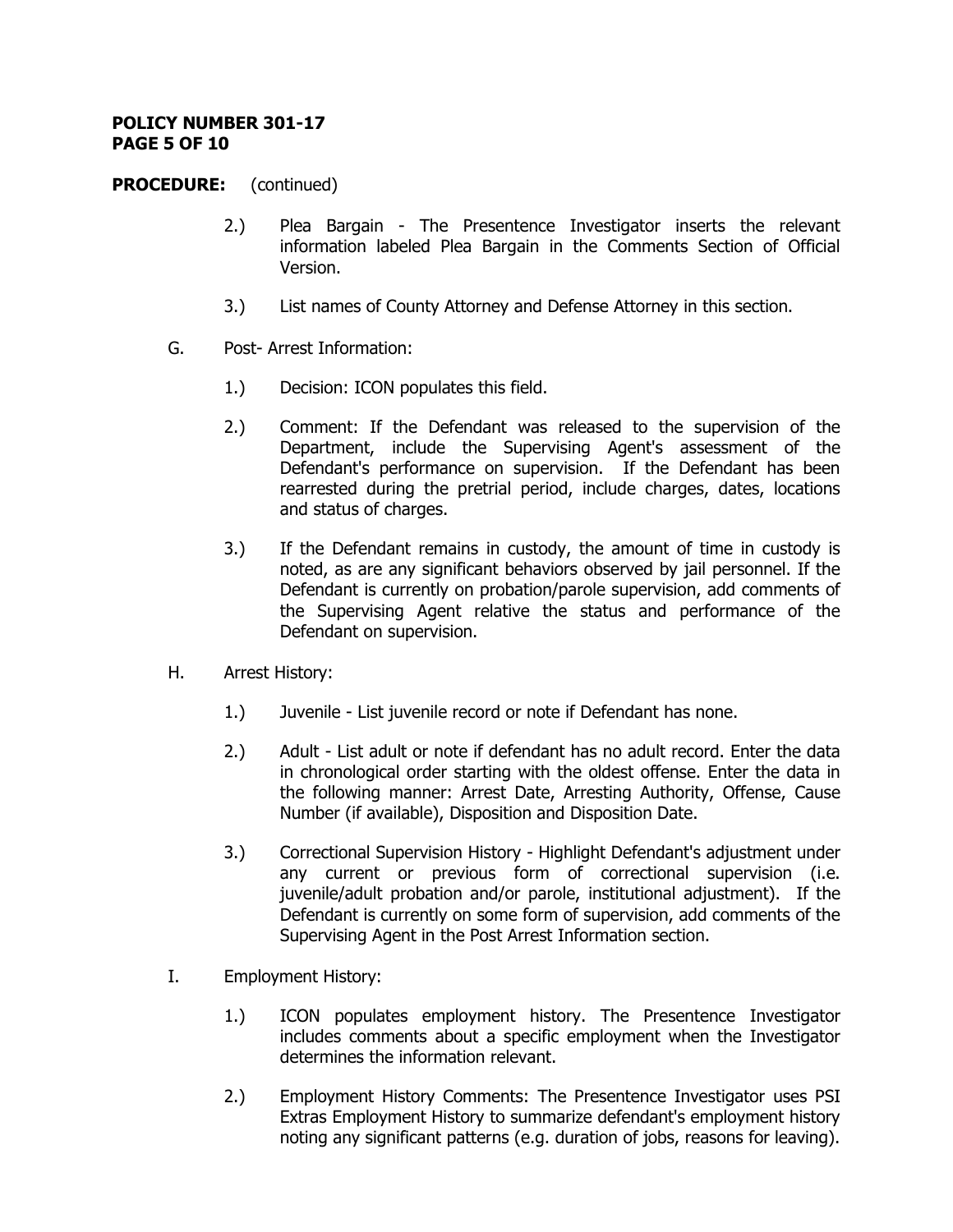#### **POLICY NUMBER 301-17 PAGE 5 OF 10**

- 2.) Plea Bargain The Presentence Investigator inserts the relevant information labeled Plea Bargain in the Comments Section of Official Version.
- 3.) List names of County Attorney and Defense Attorney in this section.
- G. Post- Arrest Information:
	- 1.) Decision: ICON populates this field.
	- 2.) Comment: If the Defendant was released to the supervision of the Department, include the Supervising Agent's assessment of the Defendant's performance on supervision. If the Defendant has been rearrested during the pretrial period, include charges, dates, locations and status of charges.
	- 3.) If the Defendant remains in custody, the amount of time in custody is noted, as are any significant behaviors observed by jail personnel. If the Defendant is currently on probation/parole supervision, add comments of the Supervising Agent relative the status and performance of the Defendant on supervision.
- H. Arrest History:
	- 1.) Juvenile List juvenile record or note if Defendant has none.
	- 2.) Adult List adult or note if defendant has no adult record. Enter the data in chronological order starting with the oldest offense. Enter the data in the following manner: Arrest Date, Arresting Authority, Offense, Cause Number (if available), Disposition and Disposition Date.
	- 3.) Correctional Supervision History Highlight Defendant's adjustment under any current or previous form of correctional supervision (i.e. juvenile/adult probation and/or parole, institutional adjustment). If the Defendant is currently on some form of supervision, add comments of the Supervising Agent in the Post Arrest Information section.
- I. Employment History:
	- 1.) ICON populates employment history. The Presentence Investigator includes comments about a specific employment when the Investigator determines the information relevant.
	- 2.) Employment History Comments: The Presentence Investigator uses PSI Extras Employment History to summarize defendant's employment history noting any significant patterns (e.g. duration of jobs, reasons for leaving).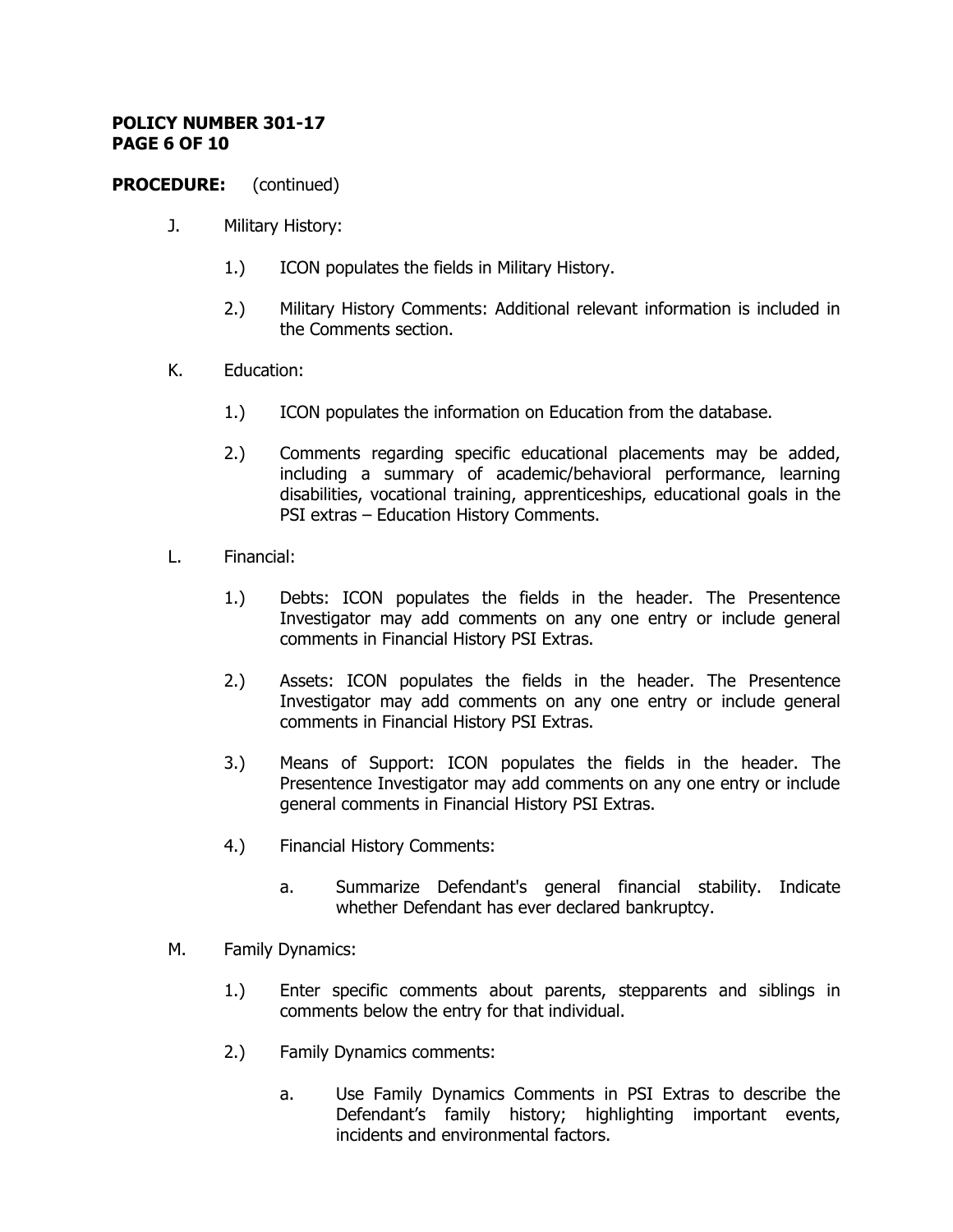### **POLICY NUMBER 301-17 PAGE 6 OF 10**

- J. Military History:
	- 1.) ICON populates the fields in Military History.
	- 2.) Military History Comments: Additional relevant information is included in the Comments section.
- K. Education:
	- 1.) ICON populates the information on Education from the database.
	- 2.) Comments regarding specific educational placements may be added, including a summary of academic/behavioral performance, learning disabilities, vocational training, apprenticeships, educational goals in the PSI extras – Education History Comments.
- L. Financial:
	- 1.) Debts: ICON populates the fields in the header. The Presentence Investigator may add comments on any one entry or include general comments in Financial History PSI Extras.
	- 2.) Assets: ICON populates the fields in the header. The Presentence Investigator may add comments on any one entry or include general comments in Financial History PSI Extras.
	- 3.) Means of Support: ICON populates the fields in the header. The Presentence Investigator may add comments on any one entry or include general comments in Financial History PSI Extras.
	- 4.) Financial History Comments:
		- a. Summarize Defendant's general financial stability. Indicate whether Defendant has ever declared bankruptcy.
- M. Family Dynamics:
	- 1.) Enter specific comments about parents, stepparents and siblings in comments below the entry for that individual.
	- 2.) Family Dynamics comments:
		- a. Use Family Dynamics Comments in PSI Extras to describe the Defendant's family history; highlighting important events, incidents and environmental factors.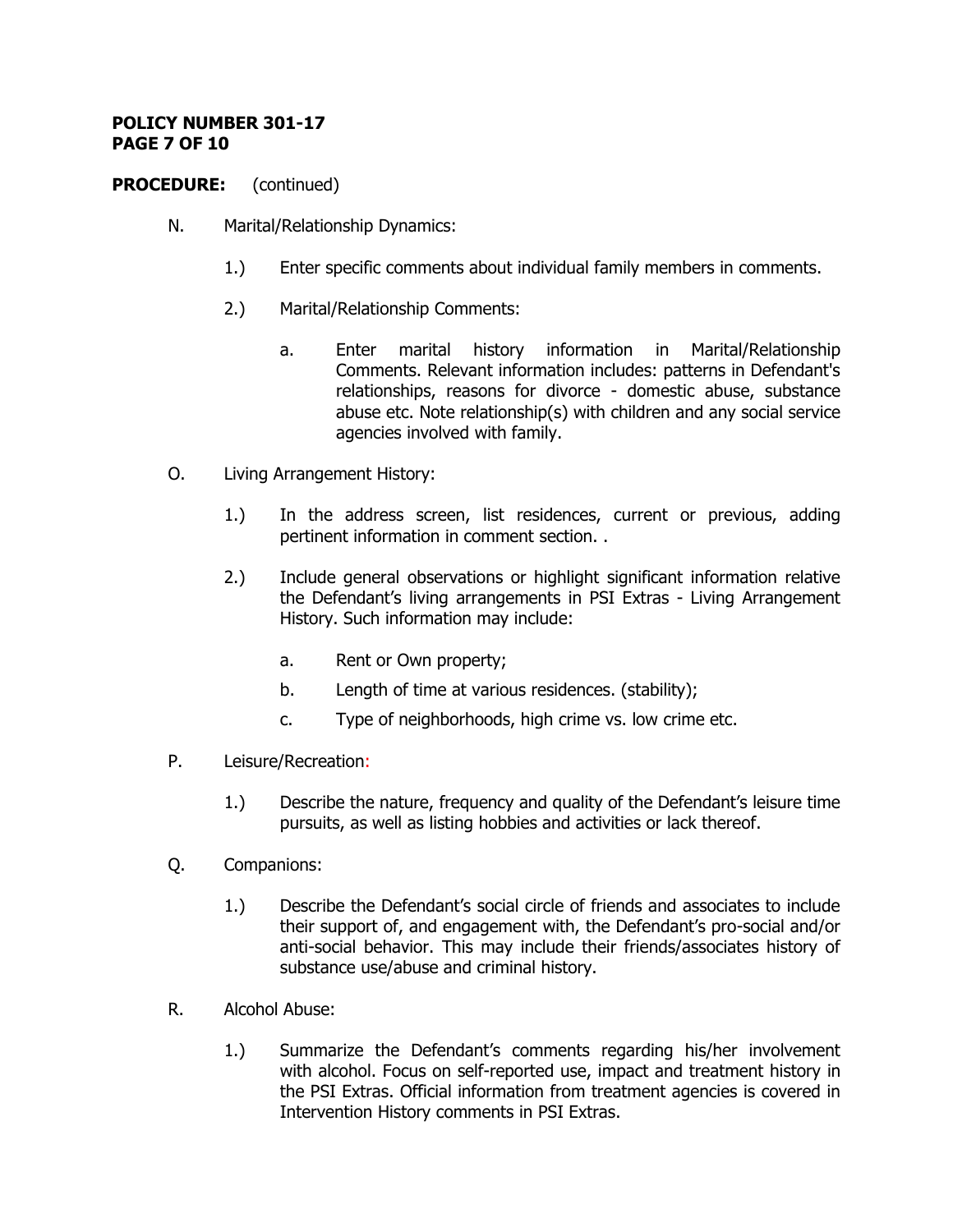### **POLICY NUMBER 301-17 PAGE 7 OF 10**

- N. Marital/Relationship Dynamics:
	- 1.) Enter specific comments about individual family members in comments.
	- 2.) Marital/Relationship Comments:
		- a. Enter marital history information in Marital/Relationship Comments. Relevant information includes: patterns in Defendant's relationships, reasons for divorce - domestic abuse, substance abuse etc. Note relationship(s) with children and any social service agencies involved with family.
- O. Living Arrangement History:
	- 1.) In the address screen, list residences, current or previous, adding pertinent information in comment section. .
	- 2.) Include general observations or highlight significant information relative the Defendant's living arrangements in PSI Extras - Living Arrangement History. Such information may include:
		- a. Rent or Own property;
		- b. Length of time at various residences. (stability);
		- c. Type of neighborhoods, high crime vs. low crime etc.
- P. Leisure/Recreation:
	- 1.) Describe the nature, frequency and quality of the Defendant's leisure time pursuits, as well as listing hobbies and activities or lack thereof.
- Q. Companions:
	- 1.) Describe the Defendant's social circle of friends and associates to include their support of, and engagement with, the Defendant's pro-social and/or anti-social behavior. This may include their friends/associates history of substance use/abuse and criminal history.
- R. Alcohol Abuse:
	- 1.) Summarize the Defendant's comments regarding his/her involvement with alcohol. Focus on self-reported use, impact and treatment history in the PSI Extras. Official information from treatment agencies is covered in Intervention History comments in PSI Extras.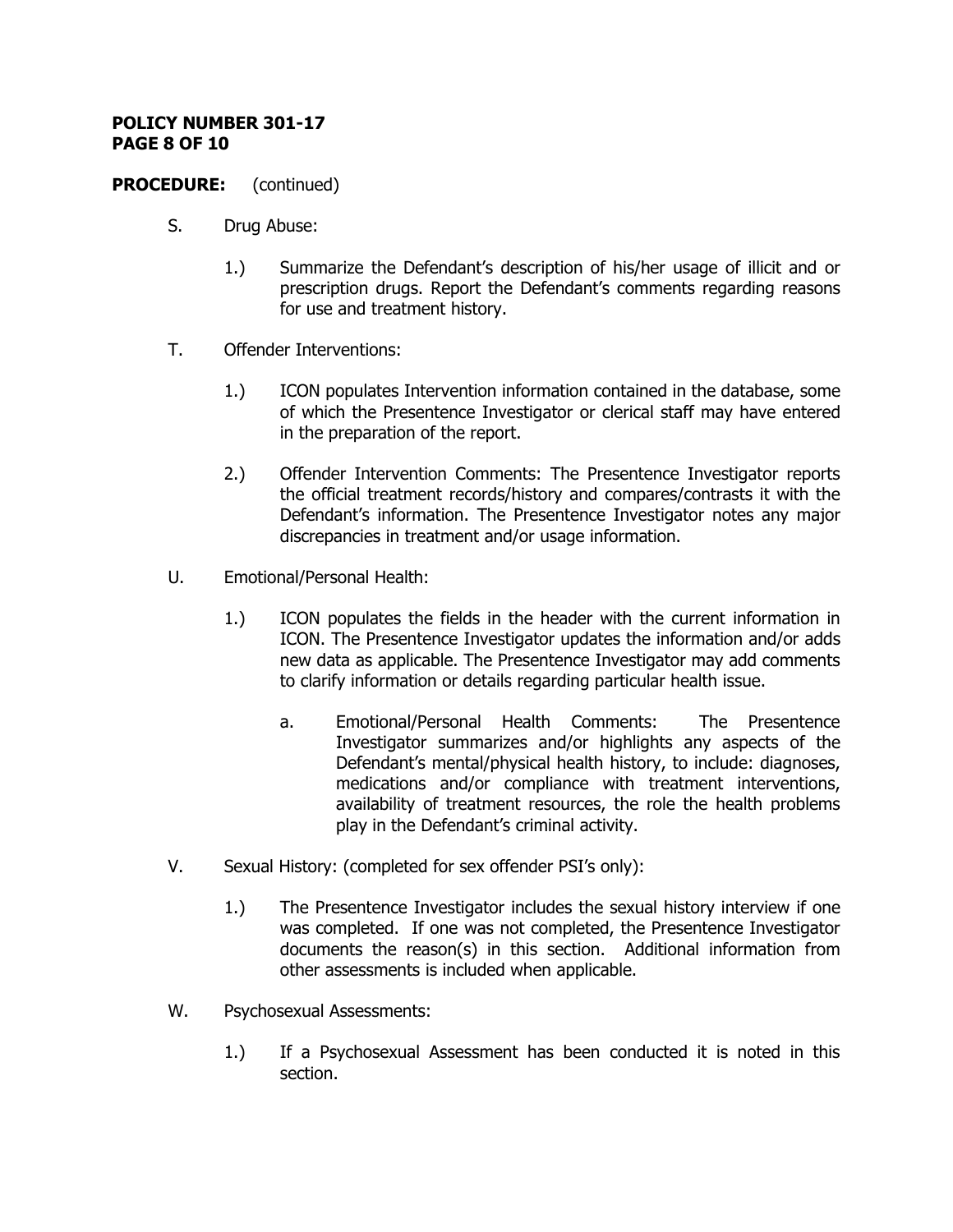#### **POLICY NUMBER 301-17 PAGE 8 OF 10**

- S. Drug Abuse:
	- 1.) Summarize the Defendant's description of his/her usage of illicit and or prescription drugs. Report the Defendant's comments regarding reasons for use and treatment history.
- T. Offender Interventions:
	- 1.) ICON populates Intervention information contained in the database, some of which the Presentence Investigator or clerical staff may have entered in the preparation of the report.
	- 2.) Offender Intervention Comments: The Presentence Investigator reports the official treatment records/history and compares/contrasts it with the Defendant's information. The Presentence Investigator notes any major discrepancies in treatment and/or usage information.
- U. Emotional/Personal Health:
	- 1.) ICON populates the fields in the header with the current information in ICON. The Presentence Investigator updates the information and/or adds new data as applicable. The Presentence Investigator may add comments to clarify information or details regarding particular health issue.
		- a. Emotional/Personal Health Comments: The Presentence Investigator summarizes and/or highlights any aspects of the Defendant's mental/physical health history, to include: diagnoses, medications and/or compliance with treatment interventions, availability of treatment resources, the role the health problems play in the Defendant's criminal activity.
- V. Sexual History: (completed for sex offender PSI's only):
	- 1.) The Presentence Investigator includes the sexual history interview if one was completed. If one was not completed, the Presentence Investigator documents the reason(s) in this section. Additional information from other assessments is included when applicable.
- W. Psychosexual Assessments:
	- 1.) If a Psychosexual Assessment has been conducted it is noted in this section.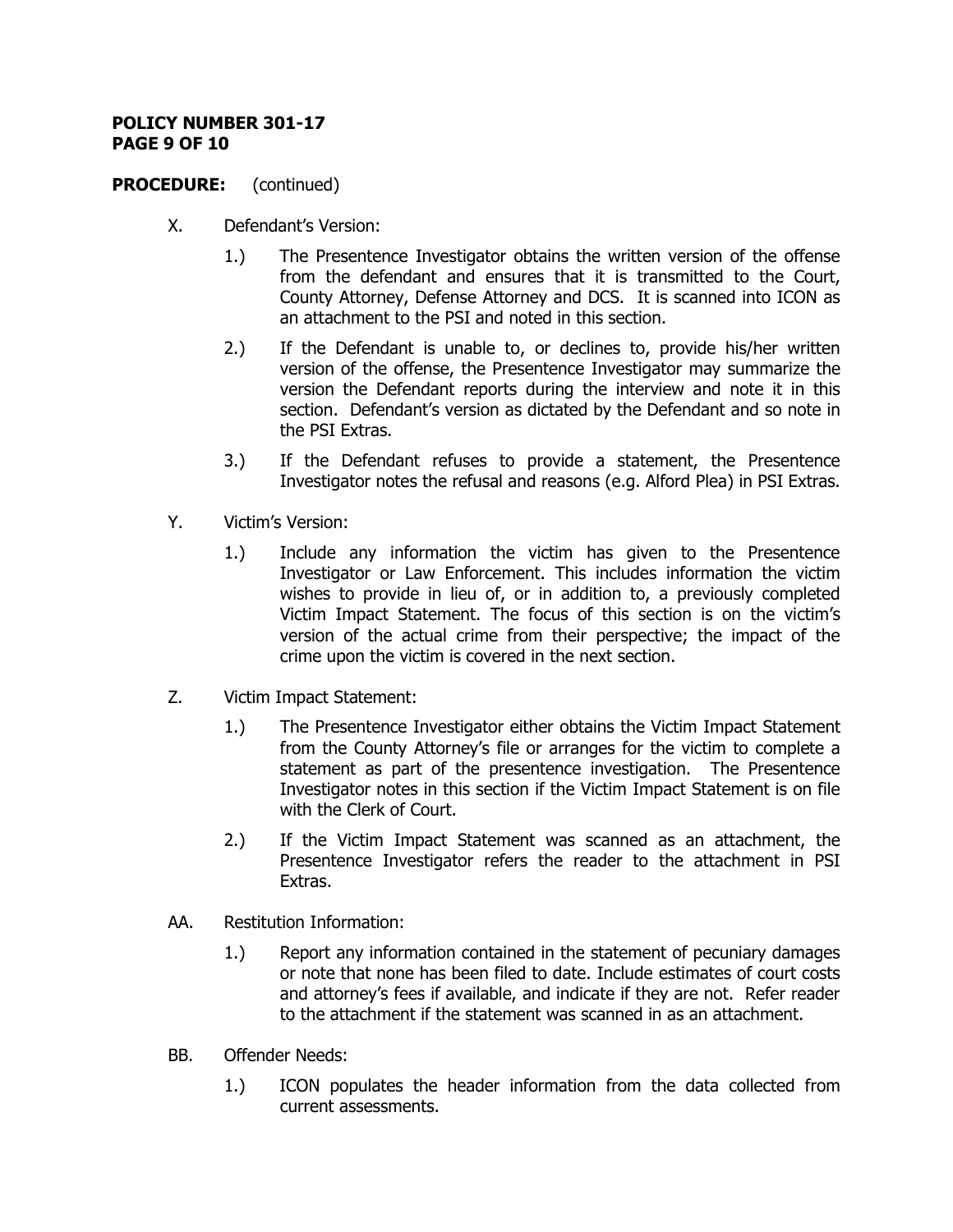### **POLICY NUMBER 301-17 PAGE 9 OF 10**

- X. Defendant's Version:
	- 1.) The Presentence Investigator obtains the written version of the offense from the defendant and ensures that it is transmitted to the Court, County Attorney, Defense Attorney and DCS. It is scanned into ICON as an attachment to the PSI and noted in this section.
	- 2.) If the Defendant is unable to, or declines to, provide his/her written version of the offense, the Presentence Investigator may summarize the version the Defendant reports during the interview and note it in this section. Defendant's version as dictated by the Defendant and so note in the PSI Extras.
	- 3.) If the Defendant refuses to provide a statement, the Presentence Investigator notes the refusal and reasons (e.g. Alford Plea) in PSI Extras.
- Y. Victim's Version:
	- 1.) Include any information the victim has given to the Presentence Investigator or Law Enforcement. This includes information the victim wishes to provide in lieu of, or in addition to, a previously completed Victim Impact Statement. The focus of this section is on the victim's version of the actual crime from their perspective; the impact of the crime upon the victim is covered in the next section.
- Z. Victim Impact Statement:
	- 1.) The Presentence Investigator either obtains the Victim Impact Statement from the County Attorney's file or arranges for the victim to complete a statement as part of the presentence investigation. The Presentence Investigator notes in this section if the Victim Impact Statement is on file with the Clerk of Court.
	- 2.) If the Victim Impact Statement was scanned as an attachment, the Presentence Investigator refers the reader to the attachment in PSI Extras.
- AA. Restitution Information:
	- 1.) Report any information contained in the statement of pecuniary damages or note that none has been filed to date. Include estimates of court costs and attorney's fees if available, and indicate if they are not. Refer reader to the attachment if the statement was scanned in as an attachment.
- BB. Offender Needs:
	- 1.) ICON populates the header information from the data collected from current assessments.